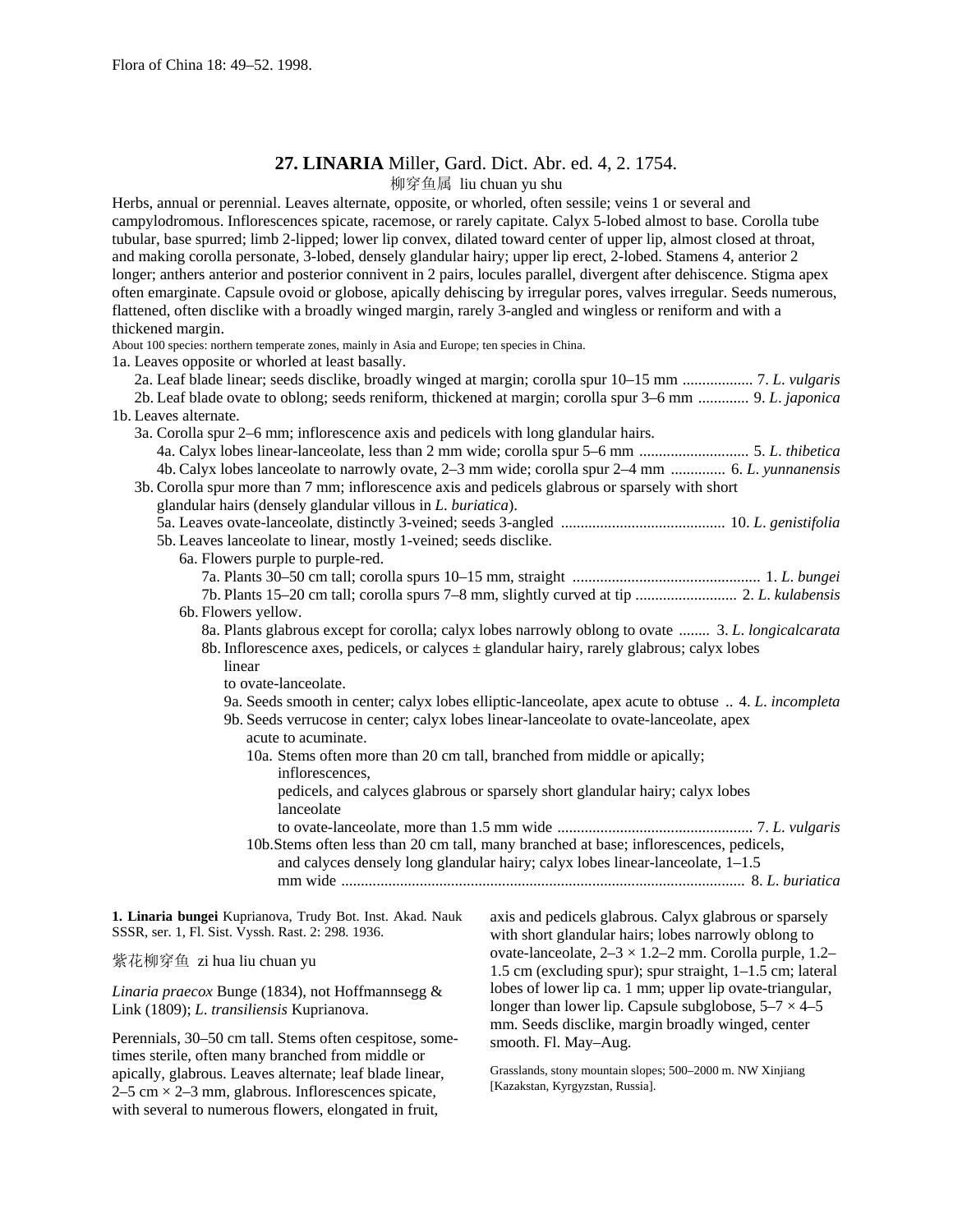## **27. LINARIA** Miller, Gard. Dict. Abr. ed. 4, 2. 1754.

柳穿鱼属 liu chuan yu shu

Herbs, annual or perennial. Leaves alternate, opposite, or whorled, often sessile; veins 1 or several and campylodromous. Inflorescences spicate, racemose, or rarely capitate. Calyx 5-lobed almost to base. Corolla tube tubular, base spurred; limb 2-lipped; lower lip convex, dilated toward center of upper lip, almost closed at throat, and making corolla personate, 3-lobed, densely glandular hairy; upper lip erect, 2-lobed. Stamens 4, anterior 2 longer; anthers anterior and posterior connivent in 2 pairs, locules parallel, divergent after dehiscence. Stigma apex often emarginate. Capsule ovoid or globose, apically dehiscing by irregular pores, valves irregular. Seeds numerous, flattened, often disclike with a broadly winged margin, rarely 3-angled and wingless or reniform and with a thickened margin.

About 100 species: northern temperate zones, mainly in Asia and Europe; ten species in China.

1a. Leaves opposite or whorled at least basally.

| ra. Ecaves opposite or whorled at least basally.                                                 |                                                                                                          |
|--------------------------------------------------------------------------------------------------|----------------------------------------------------------------------------------------------------------|
|                                                                                                  | 2a. Leaf blade linear; seeds disclike, broadly winged at margin; corolla spur 10–15 mm  7. L. vulgaris   |
|                                                                                                  | 2b. Leaf blade ovate to oblong; seeds reniform, thickened at margin; corolla spur 3–6 mm  9. L. japonica |
| 1b. Leaves alternate.                                                                            |                                                                                                          |
| 3a. Corolla spur 2–6 mm; inflorescence axis and pedicels with long glandular hairs.              |                                                                                                          |
|                                                                                                  |                                                                                                          |
|                                                                                                  | 4b. Calyx lobes lanceolate to narrowly ovate, 2–3 mm wide; corolla spur 2–4 mm  6. L. yunnanensis        |
| 3b. Corolla spur more than 7 mm; inflorescence axis and pedicels glabrous or sparsely with short |                                                                                                          |
| glandular hairs (densely glandular villous in L. buriatica).                                     |                                                                                                          |
|                                                                                                  |                                                                                                          |
| 5b. Leaves lanceolate to linear, mostly 1-veined; seeds disclike.                                |                                                                                                          |
| 6a. Flowers purple to purple-red.                                                                |                                                                                                          |
|                                                                                                  |                                                                                                          |
|                                                                                                  | 7b. Plants 15–20 cm tall; corolla spurs 7–8 mm, slightly curved at tip  2. L. kulabensis                 |
| 6b. Flowers yellow.                                                                              |                                                                                                          |
|                                                                                                  | 8a. Plants glabrous except for corolla; calyx lobes narrowly oblong to ovate  3. L. longicalcarata       |
| 8b. Inflorescence axes, pedicels, or calves $\pm$ glandular hairy, rarely glabrous; calyx lobes  |                                                                                                          |
| linear                                                                                           |                                                                                                          |
| to ovate-lanceolate.                                                                             |                                                                                                          |
|                                                                                                  | 9a. Seeds smooth in center; calyx lobes elliptic-lanceolate, apex acute to obtuse  4. L. incompleta      |
|                                                                                                  | 9b. Seeds verrucose in center; calyx lobes linear-lanceolate to ovate-lanceolate, apex                   |
| acute to acuminate.                                                                              |                                                                                                          |
| 10a. Stems often more than 20 cm tall, branched from middle or apically;                         |                                                                                                          |
| inflorescences,                                                                                  |                                                                                                          |
|                                                                                                  | pedicels, and calyces glabrous or sparsely short glandular hairy; calyx lobes                            |
| lanceolate                                                                                       |                                                                                                          |
|                                                                                                  |                                                                                                          |
|                                                                                                  | 10b.Stems often less than 20 cm tall, many branched at base; inflorescences, pedicels,                   |
|                                                                                                  | and calyces densely long glandular hairy; calyx lobes linear-lanceolate, 1-1.5                           |
|                                                                                                  |                                                                                                          |
|                                                                                                  |                                                                                                          |
| 1. Linaria bungei Kuprianova, Trudy Bot. Inst. Akad. Nauk                                        | axis and pedicels glabrous. Calyx glabrous or sparsely                                                   |
| SSSR, ser. 1, Fl. Sist. Vyssh. Rast. 2: 298. 1936.                                               | with short glandular hairs; lobes narrowly oblong to                                                     |

紫花柳穿鱼 zi hua liu chuan yu

*Linaria praecox* Bunge (1834), not Hoffmannsegg & Link (1809); *L*. *transiliensis* Kuprianova.

Perennials, 30–50 cm tall. Stems often cespitose, sometimes sterile, often many branched from middle or apically, glabrous. Leaves alternate; leaf blade linear,  $2-5$  cm  $\times$  2-3 mm, glabrous. Inflorescences spicate, with several to numerous flowers, elongated in fruit,

ovate-lanceolate,  $2-3 \times 1.2-2$  mm. Corolla purple,  $1.2-$ 1.5 cm (excluding spur); spur straight, 1–1.5 cm; lateral lobes of lower lip ca. 1 mm; upper lip ovate-triangular, longer than lower lip. Capsule subglobose,  $5-7 \times 4-5$ mm. Seeds disclike, margin broadly winged, center smooth. Fl. May–Aug.

Grasslands, stony mountain slopes; 500–2000 m. NW Xinjiang [Kazakstan, Kyrgyzstan, Russia].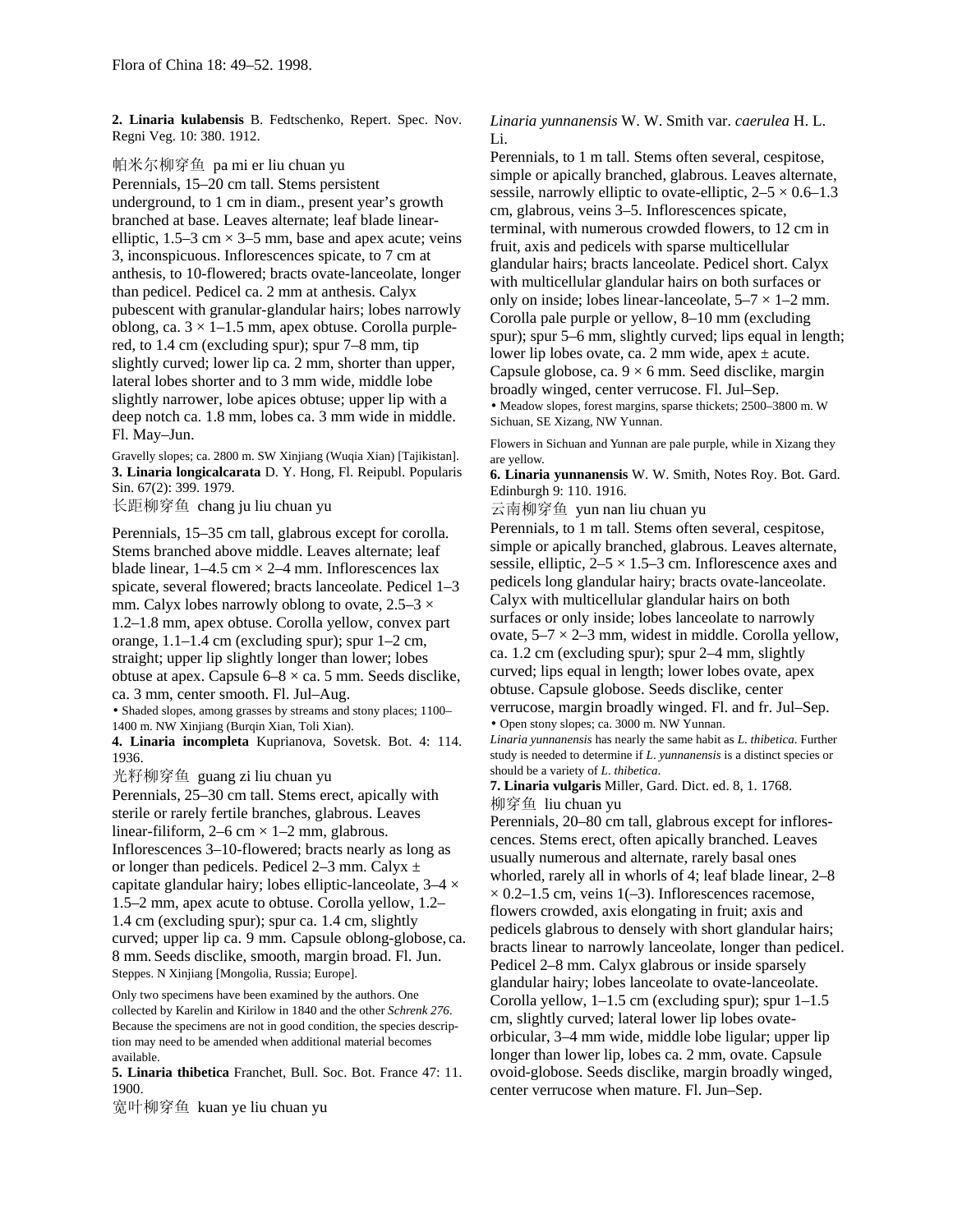**2. Linaria kulabensis** B. Fedtschenko, Repert. Spec. Nov. Regni Veg. 10: 380. 1912.

帕米尔柳穿鱼 pa mi er liu chuan yu Perennials, 15–20 cm tall. Stems persistent underground, to 1 cm in diam., present year's growth branched at base. Leaves alternate; leaf blade linearelliptic,  $1.5-3$  cm  $\times$  3-5 mm, base and apex acute; veins 3, inconspicuous. Inflorescences spicate, to 7 cm at anthesis, to 10-flowered; bracts ovate-lanceolate, longer than pedicel. Pedicel ca. 2 mm at anthesis. Calyx pubescent with granular-glandular hairs; lobes narrowly oblong, ca.  $3 \times 1$ –1.5 mm, apex obtuse. Corolla purplered, to 1.4 cm (excluding spur); spur 7–8 mm, tip slightly curved; lower lip ca. 2 mm, shorter than upper, lateral lobes shorter and to 3 mm wide, middle lobe slightly narrower, lobe apices obtuse; upper lip with a deep notch ca. 1.8 mm, lobes ca. 3 mm wide in middle. Fl. May–Jun.

Gravelly slopes; ca. 2800 m. SW Xinjiang (Wuqia Xian) [Tajikistan]. **3. Linaria longicalcarata** D. Y. Hong, Fl. Reipubl. Popularis Sin. 67(2): 399. 1979.

长距柳穿鱼 chang ju liu chuan yu

Perennials, 15–35 cm tall, glabrous except for corolla. Stems branched above middle. Leaves alternate; leaf blade linear,  $1-4.5$  cm  $\times$  2-4 mm. Inflorescences lax spicate, several flowered; bracts lanceolate. Pedicel 1–3 mm. Calyx lobes narrowly oblong to ovate,  $2.5-3 \times$ 1.2–1.8 mm, apex obtuse. Corolla yellow, convex part orange, 1.1–1.4 cm (excluding spur); spur 1–2 cm, straight; upper lip slightly longer than lower; lobes obtuse at apex. Capsule 6–8 × ca. 5 mm. Seeds disclike, ca. 3 mm, center smooth. Fl. Jul–Aug.

• Shaded slopes, among grasses by streams and stony places; 1100– 1400 m. NW Xinjiang (Burqin Xian, Toli Xian).

**4. Linaria incompleta** Kuprianova, Sovetsk. Bot. 4: 114. 1936.

光籽柳穿鱼 guang zi liu chuan yu

Perennials, 25–30 cm tall. Stems erect, apically with sterile or rarely fertile branches, glabrous. Leaves linear-filiform,  $2-6$  cm  $\times$  1-2 mm, glabrous. Inflorescences 3–10-flowered; bracts nearly as long as or longer than pedicels. Pedicel 2–3 mm. Calyx  $\pm$ capitate glandular hairy; lobes elliptic-lanceolate,  $3-4 \times$ 1.5–2 mm, apex acute to obtuse. Corolla yellow, 1.2– 1.4 cm (excluding spur); spur ca. 1.4 cm, slightly curved; upper lip ca. 9 mm. Capsule oblong-globose, ca. 8 mm. Seeds disclike, smooth, margin broad. Fl. Jun. Steppes. N Xinjiang [Mongolia, Russia; Europe].

Only two specimens have been examined by the authors. One collected by Karelin and Kirilow in 1840 and the other *Schrenk 276*. Because the specimens are not in good condition, the species description may need to be amended when additional material becomes available.

**5. Linaria thibetica** Franchet, Bull. Soc. Bot. France 47: 11. 1900.

宽叶柳穿鱼 kuan ye liu chuan yu

*Linaria yunnanensis* W. W. Smith var. *caerulea* H. L. Li.

Perennials, to 1 m tall. Stems often several, cespitose, simple or apically branched, glabrous. Leaves alternate, sessile, narrowly elliptic to ovate-elliptic,  $2-5 \times 0.6-1.3$ cm, glabrous, veins 3–5. Inflorescences spicate, terminal, with numerous crowded flowers, to 12 cm in fruit, axis and pedicels with sparse multicellular glandular hairs; bracts lanceolate. Pedicel short. Calyx with multicellular glandular hairs on both surfaces or only on inside; lobes linear-lanceolate,  $5-7 \times 1-2$  mm. Corolla pale purple or yellow, 8–10 mm (excluding spur); spur 5–6 mm, slightly curved; lips equal in length; lower lip lobes ovate, ca. 2 mm wide, apex  $\pm$  acute. Capsule globose, ca.  $9 \times 6$  mm. Seed disclike, margin broadly winged, center verrucose. Fl. Jul–Sep. • Meadow slopes, forest margins, sparse thickets; 2500–3800 m. W

Sichuan, SE Xizang, NW Yunnan.

Flowers in Sichuan and Yunnan are pale purple, while in Xizang they are yellow.

**6. Linaria yunnanensis** W. W. Smith, Notes Roy. Bot. Gard. Edinburgh 9: 110. 1916.

云南柳穿鱼 yun nan liu chuan yu

Perennials, to 1 m tall. Stems often several, cespitose, simple or apically branched, glabrous. Leaves alternate, sessile, elliptic,  $2-5 \times 1.5-3$  cm. Inflorescence axes and pedicels long glandular hairy; bracts ovate-lanceolate. Calyx with multicellular glandular hairs on both surfaces or only inside; lobes lanceolate to narrowly ovate,  $5-7 \times 2-3$  mm, widest in middle. Corolla yellow, ca. 1.2 cm (excluding spur); spur 2–4 mm, slightly curved; lips equal in length; lower lobes ovate, apex obtuse. Capsule globose. Seeds disclike, center verrucose, margin broadly winged. Fl. and fr. Jul–Sep.

• Open stony slopes; ca. 3000 m. NW Yunnan.

*Linaria yunnanensis* has nearly the same habit as *L*. *thibetica*. Further study is needed to determine if *L*. *yunnanensis* is a distinct species or should be a variety of *L*. *thibetica*.

**7. Linaria vulgaris** Miller, Gard. Dict. ed. 8, 1. 1768. 柳穿鱼 liu chuan yu

Perennials, 20–80 cm tall, glabrous except for inflorescences. Stems erect, often apically branched. Leaves usually numerous and alternate, rarely basal ones whorled, rarely all in whorls of 4; leaf blade linear, 2–8  $\times$  0.2–1.5 cm, veins 1(–3). Inflorescences racemose, flowers crowded, axis elongating in fruit; axis and pedicels glabrous to densely with short glandular hairs; bracts linear to narrowly lanceolate, longer than pedicel. Pedicel 2–8 mm. Calyx glabrous or inside sparsely glandular hairy; lobes lanceolate to ovate-lanceolate. Corolla yellow, 1–1.5 cm (excluding spur); spur 1–1.5 cm, slightly curved; lateral lower lip lobes ovateorbicular, 3–4 mm wide, middle lobe ligular; upper lip longer than lower lip, lobes ca. 2 mm, ovate. Capsule ovoid-globose. Seeds disclike, margin broadly winged, center verrucose when mature. Fl. Jun–Sep.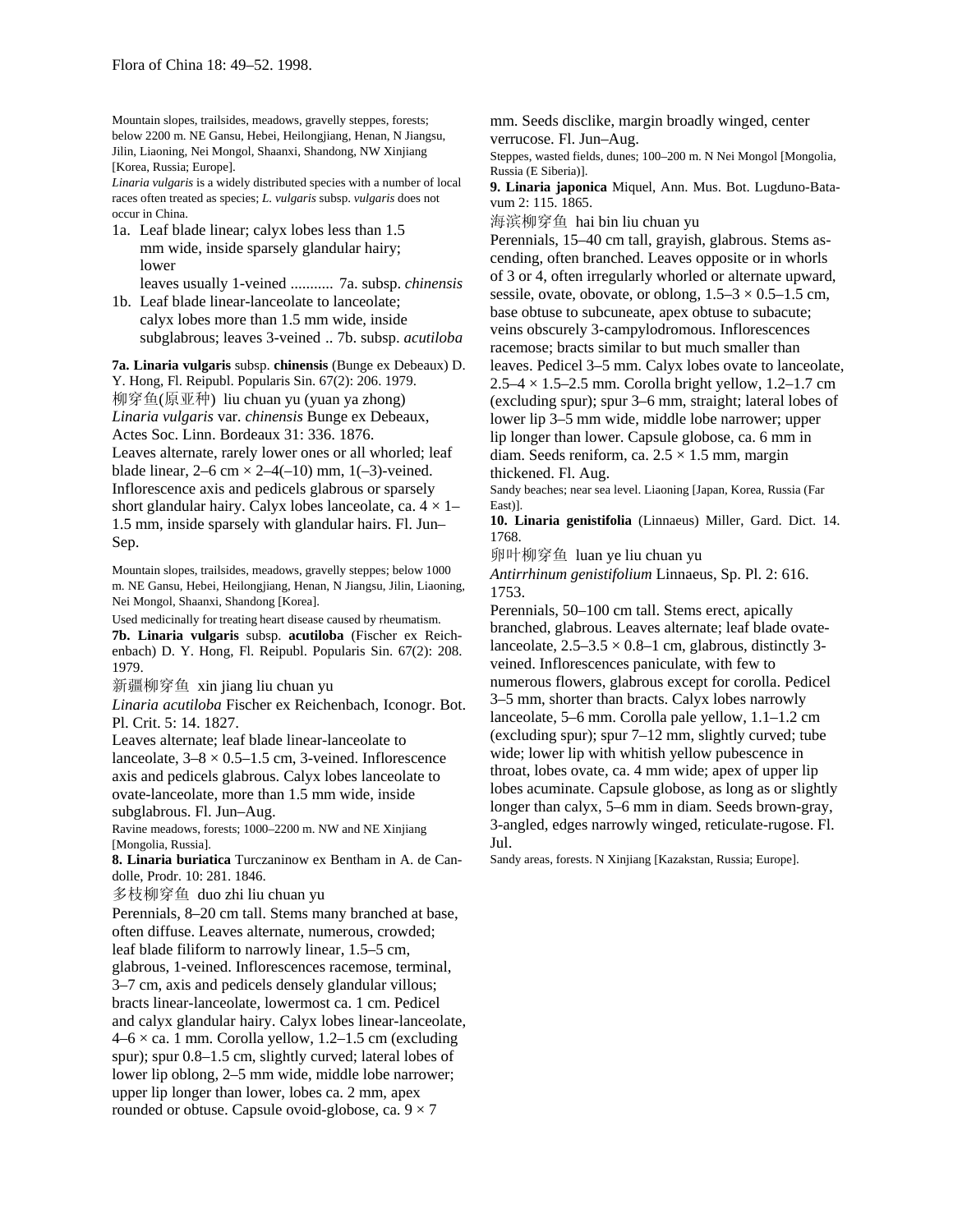Mountain slopes, trailsides, meadows, gravelly steppes, forests; below 2200 m. NE Gansu, Hebei, Heilongjiang, Henan, N Jiangsu, Jilin, Liaoning, Nei Mongol, Shaanxi, Shandong, NW Xinjiang [Korea, Russia; Europe].

*Linaria vulgaris* is a widely distributed species with a number of local races often treated as species; *L. vulgaris* subsp. *vulgaris* does not occur in China.

- 1a. Leaf blade linear; calyx lobes less than 1.5 mm wide, inside sparsely glandular hairy; lower
- leaves usually 1-veined ........... 7a. subsp. *chinensis* 1b. Leaf blade linear-lanceolate to lanceolate;
- calyx lobes more than 1.5 mm wide, inside subglabrous; leaves 3-veined .. 7b. subsp. *acutiloba*

**7a. Linaria vulgaris** subsp. **chinensis** (Bunge ex Debeaux) D. Y. Hong, Fl. Reipubl. Popularis Sin. 67(2): 206. 1979. 柳穿鱼(原亚种) liu chuan yu (yuan ya zhong) *Linaria vulgaris* var. *chinensis* Bunge ex Debeaux, Actes Soc. Linn. Bordeaux 31: 336. 1876. Leaves alternate, rarely lower ones or all whorled; leaf blade linear,  $2-6$  cm  $\times$  2-4(-10) mm, 1(-3)-veined. Inflorescence axis and pedicels glabrous or sparsely short glandular hairy. Calyx lobes lanceolate, ca.  $4 \times 1-$ 1.5 mm, inside sparsely with glandular hairs. Fl. Jun– Sep.

Mountain slopes, trailsides, meadows, gravelly steppes; below 1000 m. NE Gansu, Hebei, Heilongjiang, Henan, N Jiangsu, Jilin, Liaoning, Nei Mongol, Shaanxi, Shandong [Korea].

Used medicinally for treating heart disease caused by rheumatism. **7b. Linaria vulgaris** subsp. **acutiloba** (Fischer ex Reichenbach) D. Y. Hong, Fl. Reipubl. Popularis Sin. 67(2): 208. 1979.

新疆柳穿鱼 xin jiang liu chuan yu

*Linaria acutiloba* Fischer ex Reichenbach, Iconogr. Bot. Pl. Crit. 5: 14. 1827.

Leaves alternate; leaf blade linear-lanceolate to lanceolate,  $3-8 \times 0.5-1.5$  cm, 3-veined. Inflorescence axis and pedicels glabrous. Calyx lobes lanceolate to ovate-lanceolate, more than 1.5 mm wide, inside subglabrous. Fl. Jun–Aug.

Ravine meadows, forests; 1000–2200 m. NW and NE Xinjiang [Mongolia, Russia].

**8. Linaria buriatica** Turczaninow ex Bentham in A. de Candolle, Prodr. 10: 281. 1846.

多枝柳穿鱼 duo zhi liu chuan yu

Perennials, 8–20 cm tall. Stems many branched at base, often diffuse. Leaves alternate, numerous, crowded; leaf blade filiform to narrowly linear, 1.5–5 cm, glabrous, 1-veined. Inflorescences racemose, terminal, 3–7 cm, axis and pedicels densely glandular villous; bracts linear-lanceolate, lowermost ca. 1 cm. Pedicel and calyx glandular hairy. Calyx lobes linear-lanceolate,  $4-6 \times$  ca. 1 mm. Corolla yellow, 1.2–1.5 cm (excluding spur); spur 0.8–1.5 cm, slightly curved; lateral lobes of lower lip oblong, 2–5 mm wide, middle lobe narrower; upper lip longer than lower, lobes ca. 2 mm, apex rounded or obtuse. Capsule ovoid-globose, ca.  $9 \times 7$ 

mm. Seeds disclike, margin broadly winged, center verrucose. Fl. Jun–Aug.

Steppes, wasted fields, dunes; 100–200 m. N Nei Mongol [Mongolia, Russia (E Siberia)].

**9. Linaria japonica** Miquel, Ann. Mus. Bot. Lugduno-Batavum 2: 115. 1865.

海滨柳穿鱼 hai bin liu chuan yu

Perennials, 15–40 cm tall, grayish, glabrous. Stems ascending, often branched. Leaves opposite or in whorls of 3 or 4, often irregularly whorled or alternate upward, sessile, ovate, obovate, or oblong,  $1.5-3 \times 0.5-1.5$  cm, base obtuse to subcuneate, apex obtuse to subacute; veins obscurely 3-campylodromous. Inflorescences racemose; bracts similar to but much smaller than leaves. Pedicel 3–5 mm. Calyx lobes ovate to lanceolate,  $2.5-4 \times 1.5-2.5$  mm. Corolla bright yellow,  $1.2-1.7$  cm (excluding spur); spur 3–6 mm, straight; lateral lobes of lower lip 3–5 mm wide, middle lobe narrower; upper lip longer than lower. Capsule globose, ca. 6 mm in diam. Seeds reniform, ca.  $2.5 \times 1.5$  mm, margin thickened. Fl. Aug.

Sandy beaches; near sea level. Liaoning [Japan, Korea, Russia (Far East)].

**10. Linaria genistifolia** (Linnaeus) Miller, Gard. Dict. 14. 1768.

卵叶柳穿鱼 luan ye liu chuan yu

*Antirrhinum genistifolium* Linnaeus, Sp. Pl. 2: 616. 1753.

Perennials, 50–100 cm tall. Stems erect, apically branched, glabrous. Leaves alternate; leaf blade ovatelanceolate,  $2.5-3.5 \times 0.8-1$  cm, glabrous, distinctly 3veined. Inflorescences paniculate, with few to numerous flowers, glabrous except for corolla. Pedicel 3–5 mm, shorter than bracts. Calyx lobes narrowly lanceolate, 5–6 mm. Corolla pale yellow, 1.1–1.2 cm (excluding spur); spur 7–12 mm, slightly curved; tube wide; lower lip with whitish yellow pubescence in throat, lobes ovate, ca. 4 mm wide; apex of upper lip lobes acuminate. Capsule globose, as long as or slightly longer than calyx, 5–6 mm in diam. Seeds brown-gray, 3-angled, edges narrowly winged, reticulate-rugose. Fl. Jul.

Sandy areas, forests. N Xinjiang [Kazakstan, Russia; Europe].